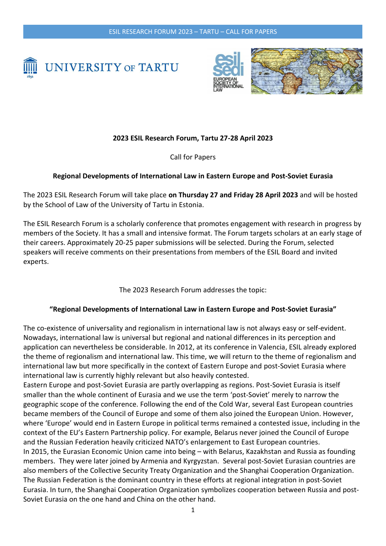



## **2023 ESIL Research Forum, Tartu 27-28 April 2023**

Call for Papers

## **Regional Developments of International Law in Eastern Europe and Post-Soviet Eurasia**

The 2023 ESIL Research Forum will take place **on Thursday 27 and Friday 28 April 2023** and will be hosted by the School of Law of the University of Tartu in Estonia.

The ESIL Research Forum is a scholarly conference that promotes engagement with research in progress by members of the Society. It has a small and intensive format. The Forum targets scholars at an early stage of their careers. Approximately 20-25 paper submissions will be selected. During the Forum, selected speakers will receive comments on their presentations from members of the ESIL Board and invited experts.

The 2023 Research Forum addresses the topic:

## **"Regional Developments of International Law in Eastern Europe and Post-Soviet Eurasia"**

The co-existence of universality and regionalism in international law is not always easy or self-evident. Nowadays, international law is universal but regional and national differences in its perception and application can nevertheless be considerable. In 2012, at its conference in Valencia, ESIL already explored the theme of regionalism and international law. This time, we will return to the theme of regionalism and international law but more specifically in the context of Eastern Europe and post-Soviet Eurasia where international law is currently highly relevant but also heavily contested.

Eastern Europe and post-Soviet Eurasia are partly overlapping as regions. Post-Soviet Eurasia is itself smaller than the whole continent of Eurasia and we use the term 'post-Soviet' merely to narrow the geographic scope of the conference. Following the end of the Cold War, several East European countries became members of the Council of Europe and some of them also joined the European Union. However, where 'Europe' would end in Eastern Europe in political terms remained a contested issue, including in the context of the EU's Eastern Partnership policy. For example, Belarus never joined the Council of Europe and the Russian Federation heavily criticized NATO's enlargement to East European countries. In 2015, the Eurasian Economic Union came into being – with Belarus, Kazakhstan and Russia as founding members. They were later joined by Armenia and Kyrgyzstan. Several post-Soviet Eurasian countries are also members of the Collective Security Treaty Organization and the Shanghai Cooperation Organization. The Russian Federation is the dominant country in these efforts at regional integration in post-Soviet Eurasia. In turn, the Shanghai Cooperation Organization symbolizes cooperation between Russia and post-Soviet Eurasia on the one hand and China on the other hand.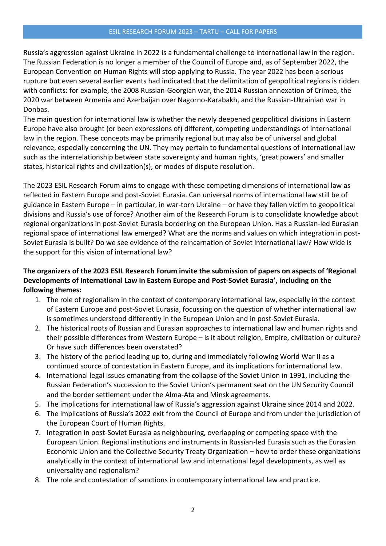Russia's aggression against Ukraine in 2022 is a fundamental challenge to international law in the region. The Russian Federation is no longer a member of the Council of Europe and, as of September 2022, the European Convention on Human Rights will stop applying to Russia. The year 2022 has been a serious rupture but even several earlier events had indicated that the delimitation of geopolitical regions is ridden with conflicts: for example, the 2008 Russian-Georgian war, the 2014 Russian annexation of Crimea, the 2020 war between Armenia and Azerbaijan over Nagorno-Karabakh, and the Russian-Ukrainian war in Donbas.

The main question for international law is whether the newly deepened geopolitical divisions in Eastern Europe have also brought (or been expressions of) different, competing understandings of international law in the region. These concepts may be primarily regional but may also be of universal and global relevance, especially concerning the UN. They may pertain to fundamental questions of international law such as the interrelationship between state sovereignty and human rights, 'great powers' and smaller states, historical rights and civilization(s), or modes of dispute resolution.

The 2023 ESIL Research Forum aims to engage with these competing dimensions of international law as reflected in Eastern Europe and post-Soviet Eurasia. Can universal norms of international law still be of guidance in Eastern Europe – in particular, in war-torn Ukraine – or have they fallen victim to geopolitical divisions and Russia's use of force? Another aim of the Research Forum is to consolidate knowledge about regional organizations in post-Soviet Eurasia bordering on the European Union. Has a Russian-led Eurasian regional space of international law emerged? What are the norms and values on which integration in post-Soviet Eurasia is built? Do we see evidence of the reincarnation of Soviet international law? How wide is the support for this vision of international law?

## **The organizers of the 2023 ESIL Research Forum invite the submission of papers on aspects of 'Regional Developments of International Law in Eastern Europe and Post-Soviet Eurasia', including on the following themes:**

- 1. The role of regionalism in the context of contemporary international law, especially in the context of Eastern Europe and post-Soviet Eurasia, focussing on the question of whether international law is sometimes understood differently in the European Union and in post-Soviet Eurasia.
- 2. The historical roots of Russian and Eurasian approaches to international law and human rights and their possible differences from Western Europe – is it about religion, Empire, civilization or culture? Or have such differences been overstated?
- 3. The history of the period leading up to, during and immediately following World War II as a continued source of contestation in Eastern Europe, and its implications for international law.
- 4. International legal issues emanating from the collapse of the Soviet Union in 1991, including the Russian Federation's succession to the Soviet Union's permanent seat on the UN Security Council and the border settlement under the Alma-Ata and Minsk agreements.
- 5. The implications for international law of Russia's aggression against Ukraine since 2014 and 2022.
- 6. The implications of Russia's 2022 exit from the Council of Europe and from under the jurisdiction of the European Court of Human Rights.
- 7. Integration in post-Soviet Eurasia as neighbouring, overlapping or competing space with the European Union. Regional institutions and instruments in Russian-led Eurasia such as the Eurasian Economic Union and the Collective Security Treaty Organization – how to order these organizations analytically in the context of international law and international legal developments, as well as universality and regionalism?
- 8. The role and contestation of sanctions in contemporary international law and practice.